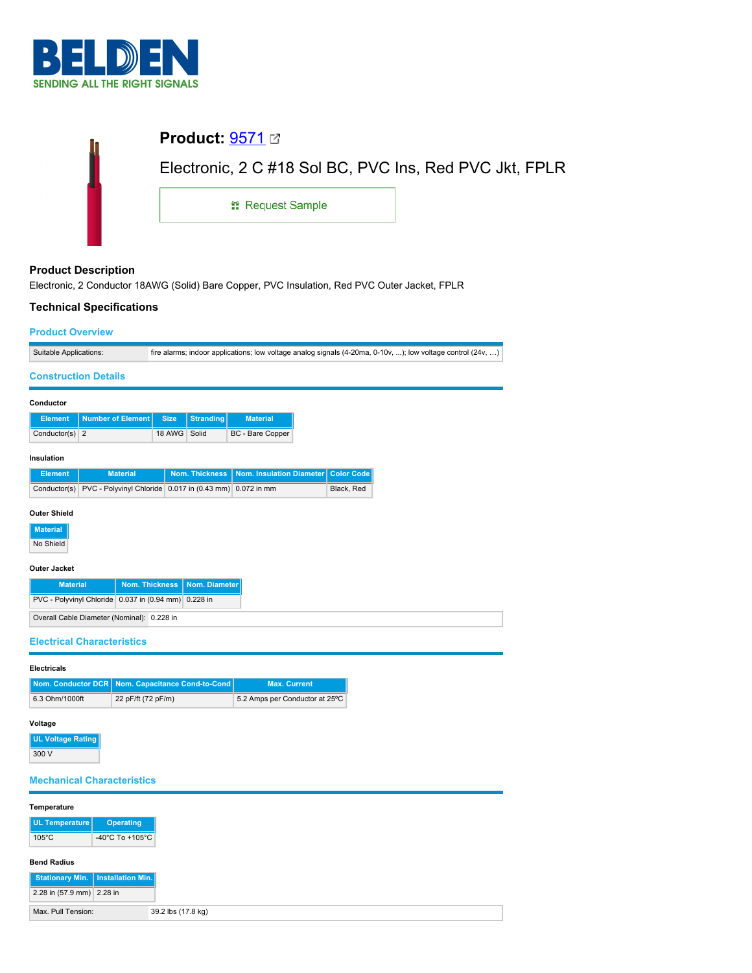

| <b>Product:</b> $9571 \boxtimes$                       |  |
|--------------------------------------------------------|--|
| Electronic, 2 C #18 Sol BC, PVC Ins, Red PVC Jkt, FPLR |  |
| <sub>■</sub> Request Sample                            |  |
|                                                        |  |

### **Product Description**

Electronic, 2 Conductor 18AWG (Solid) Bare Copper, PVC Insulation, Red PVC Outer Jacket, FPLR

## **Technical Specifications**

# **Product Overview**

2.28 in (57.9 mm) 2.28 in

Max. Pull Tension: 39.2 lbs (17.8 kg)

| <b>Product Overview</b>                     |                       |                                             |                                                                                                             |                   |  |
|---------------------------------------------|-----------------------|---------------------------------------------|-------------------------------------------------------------------------------------------------------------|-------------------|--|
| Suitable Applications:                      |                       |                                             | fire alarms; indoor applications; low voltage analog signals (4-20ma, 0-10v, ); low voltage control (24v, ) |                   |  |
| <b>Construction Details</b>                 |                       |                                             |                                                                                                             |                   |  |
| Conductor                                   |                       |                                             |                                                                                                             |                   |  |
|                                             |                       |                                             |                                                                                                             |                   |  |
| <b>Number of Element</b><br><b>Element</b>  | <b>Size</b><br>18 AWG | <b>Stranding</b><br>Solid                   | <b>Material</b>                                                                                             |                   |  |
| $\overline{2}$<br>Conductor(s)              |                       |                                             | BC - Bare Copper                                                                                            |                   |  |
| Insulation                                  |                       |                                             |                                                                                                             |                   |  |
| <b>Element</b>                              | <b>Material</b>       | <b>Nom. Thickness</b>                       | Nom. Insulation Diameter                                                                                    | <b>Color Code</b> |  |
| Conductor(s)                                |                       | PVC - Polyvinyl Chloride 0.017 in (0.43 mm) | 0.072 in mm                                                                                                 | Black, Red        |  |
| <b>Outer Shield</b>                         |                       |                                             |                                                                                                             |                   |  |
|                                             |                       |                                             |                                                                                                             |                   |  |
| <b>Material</b>                             |                       |                                             |                                                                                                             |                   |  |
| No Shield                                   |                       |                                             |                                                                                                             |                   |  |
| Outer Jacket                                |                       |                                             |                                                                                                             |                   |  |
| <b>Material</b>                             | <b>Nom. Thickness</b> | Nom. Diameter                               |                                                                                                             |                   |  |
| PVC - Polyvinyl Chloride 0.037 in (0.94 mm) |                       | 0.228 in                                    |                                                                                                             |                   |  |
| Overall Cable Diameter (Nominal): 0.228 in  |                       |                                             |                                                                                                             |                   |  |
| <b>Electrical Characteristics</b>           |                       |                                             |                                                                                                             |                   |  |
| <b>Electricals</b>                          |                       |                                             |                                                                                                             |                   |  |
| <b>Nom. Conductor DCR</b>                   |                       | Nom. Capacitance Cond-to-Cond               | <b>Max. Current</b>                                                                                         |                   |  |
| 6.3 Ohm/1000ft                              | 22 pF/ft (72 pF/m)    |                                             | 5.2 Amps per Conductor at 25°C                                                                              |                   |  |
|                                             |                       |                                             |                                                                                                             |                   |  |
| Voltage                                     |                       |                                             |                                                                                                             |                   |  |
| <b>UL Voltage Rating</b>                    |                       |                                             |                                                                                                             |                   |  |
| 300 V                                       |                       |                                             |                                                                                                             |                   |  |
| <b>Mechanical Characteristics</b>           |                       |                                             |                                                                                                             |                   |  |
| Temperature                                 |                       |                                             |                                                                                                             |                   |  |
| <b>UL Temperature</b>                       | <b>Operating</b>      |                                             |                                                                                                             |                   |  |
| $105^{\circ}$ C                             | -40°C To +105°C       |                                             |                                                                                                             |                   |  |
|                                             |                       |                                             |                                                                                                             |                   |  |
| <b>Bend Radius</b>                          |                       |                                             |                                                                                                             |                   |  |
| <b>Stationary Min.</b>                      | Installation Min.     |                                             |                                                                                                             |                   |  |